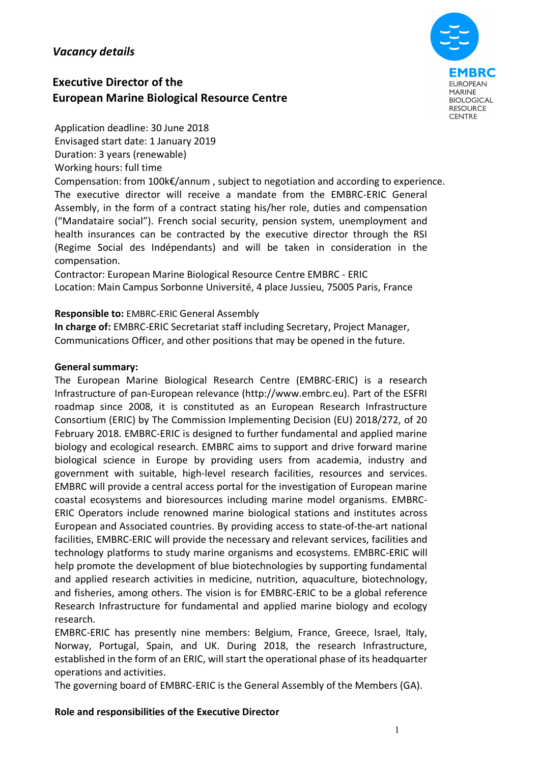## *Vacancy details*

# **Executive Director of the European Marine Biological Resource Centre**



Application deadline: 30 June 2018 Envisaged start date: 1 January 2019 Duration: 3 years (renewable) Working hours: full time

Compensation: from 100k€/annum , subject to negotiation and according to experience. The executive director will receive a mandate from the EMBRC-ERIC General Assembly, in the form of a contract stating his/her role, duties and compensation ("Mandataire social"). French social security, pension system, unemployment and health insurances can be contracted by the executive director through the RSI (Regime Social des Indépendants) and will be taken in consideration in the compensation.

Contractor: European Marine Biological Resource Centre EMBRC - ERIC Location: Main Campus Sorbonne Université, 4 place Jussieu, 75005 Paris, France

#### **Responsible to:** EMBRC-ERIC General Assembly

**In charge of:** EMBRC-ERIC Secretariat staff including Secretary, Project Manager, Communications Officer, and other positions that may be opened in the future.

#### **General summary:**

The European Marine Biological Research Centre (EMBRC-ERIC) is a research Infrastructure of pan-European relevance (http://www.embrc.eu). Part of the ESFRI roadmap since 2008, it is constituted as an European Research Infrastructure Consortium (ERIC) by The Commission Implementing Decision (EU) 2018/272, of 20 February 2018. EMBRC-ERIC is designed to further fundamental and applied marine biology and ecological research. EMBRC aims to support and drive forward marine biological science in Europe by providing users from academia, industry and government with suitable, high-level research facilities, resources and services. EMBRC will provide a central access portal for the investigation of European marine coastal ecosystems and bioresources including marine model organisms. EMBRC-ERIC Operators include renowned marine biological stations and institutes across European and Associated countries. By providing access to state-of-the-art national facilities, EMBRC-ERIC will provide the necessary and relevant services, facilities and technology platforms to study marine organisms and ecosystems. EMBRC-ERIC will help promote the development of blue biotechnologies by supporting fundamental and applied research activities in medicine, nutrition, aquaculture, biotechnology, and fisheries, among others. The vision is for EMBRC-ERIC to be a global reference Research Infrastructure for fundamental and applied marine biology and ecology research.

EMBRC-ERIC has presently nine members: Belgium, France, Greece, Israel, Italy, Norway, Portugal, Spain, and UK. During 2018, the research Infrastructure, established in the form of an ERIC, will start the operational phase of its headquarter operations and activities.

The governing board of EMBRC-ERIC is the General Assembly of the Members (GA).

#### **Role and responsibilities of the Executive Director**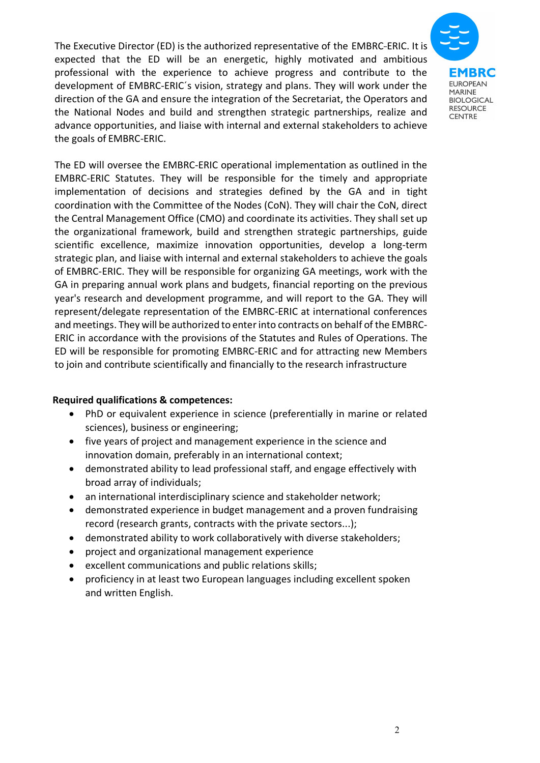The Executive Director (ED) is the authorized representative of the EMBRC-ERIC. It is expected that the ED will be an energetic, highly motivated and ambitious professional with the experience to achieve progress and contribute to the development of EMBRC-ERIC´s vision, strategy and plans. They will work under the direction of the GA and ensure the integration of the Secretariat, the Operators and the National Nodes and build and strengthen strategic partnerships, realize and advance opportunities, and liaise with internal and external stakeholders to achieve the goals of EMBRC-ERIC.



The ED will oversee the EMBRC-ERIC operational implementation as outlined in the EMBRC-ERIC Statutes. They will be responsible for the timely and appropriate implementation of decisions and strategies defined by the GA and in tight coordination with the Committee of the Nodes (CoN). They will chair the CoN, direct the Central Management Office (CMO) and coordinate its activities. They shall set up the organizational framework, build and strengthen strategic partnerships, guide scientific excellence, maximize innovation opportunities, develop a long-term strategic plan, and liaise with internal and external stakeholders to achieve the goals of EMBRC-ERIC. They will be responsible for organizing GA meetings, work with the GA in preparing annual work plans and budgets, financial reporting on the previous year's research and development programme, and will report to the GA. They will represent/delegate representation of the EMBRC-ERIC at international conferences and meetings. They will be authorized to enter into contracts on behalf of the EMBRC-ERIC in accordance with the provisions of the Statutes and Rules of Operations. The ED will be responsible for promoting EMBRC-ERIC and for attracting new Members to join and contribute scientifically and financially to the research infrastructure

#### **Required qualifications & competences:**

- PhD or equivalent experience in science (preferentially in marine or related sciences), business or engineering;
- five years of project and management experience in the science and innovation domain, preferably in an international context;
- demonstrated ability to lead professional staff, and engage effectively with broad array of individuals;
- an international interdisciplinary science and stakeholder network;
- demonstrated experience in budget management and a proven fundraising record (research grants, contracts with the private sectors...);
- demonstrated ability to work collaboratively with diverse stakeholders;
- project and organizational management experience
- excellent communications and public relations skills;
- proficiency in at least two European languages including excellent spoken and written English.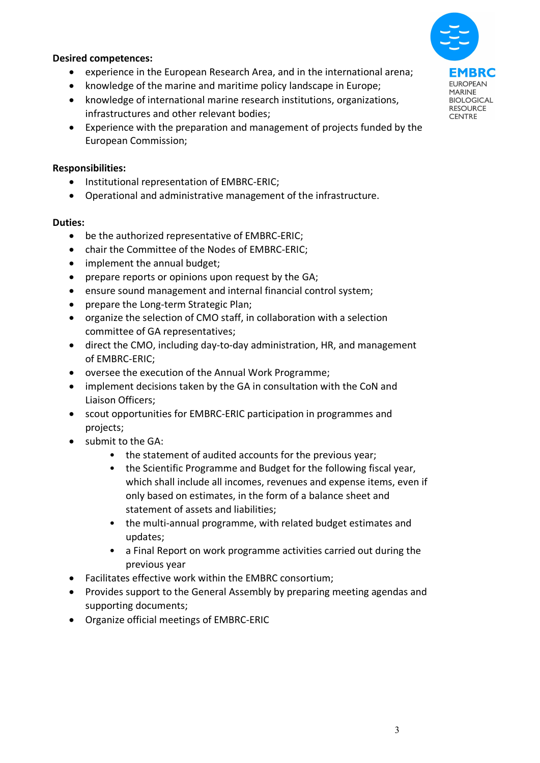

#### **Desired competences:**

- experience in the European Research Area, and in the international arena;
- knowledge of the marine and maritime policy landscape in Europe;
- knowledge of international marine research institutions, organizations, infrastructures and other relevant bodies;
- Experience with the preparation and management of projects funded by the European Commission;

### **Responsibilities:**

- Institutional representation of EMBRC-ERIC;
- Operational and administrative management of the infrastructure.

#### **Duties:**

- be the authorized representative of EMBRC-ERIC;
- chair the Committee of the Nodes of EMBRC-ERIC;
- implement the annual budget;
- prepare reports or opinions upon request by the GA;
- ensure sound management and internal financial control system;
- prepare the Long-term Strategic Plan;
- organize the selection of CMO staff, in collaboration with a selection committee of GA representatives;
- direct the CMO, including day-to-day administration, HR, and management of EMBRC-ERIC;
- oversee the execution of the Annual Work Programme;
- implement decisions taken by the GA in consultation with the CoN and Liaison Officers;
- scout opportunities for EMBRC-ERIC participation in programmes and projects;
- submit to the GA:
	- the statement of audited accounts for the previous year;
	- the Scientific Programme and Budget for the following fiscal year, which shall include all incomes, revenues and expense items, even if only based on estimates, in the form of a balance sheet and statement of assets and liabilities;
	- the multi-annual programme, with related budget estimates and updates;
	- a Final Report on work programme activities carried out during the previous year
- Facilitates effective work within the EMBRC consortium;
- Provides support to the General Assembly by preparing meeting agendas and supporting documents;
- Organize official meetings of EMBRC-ERIC